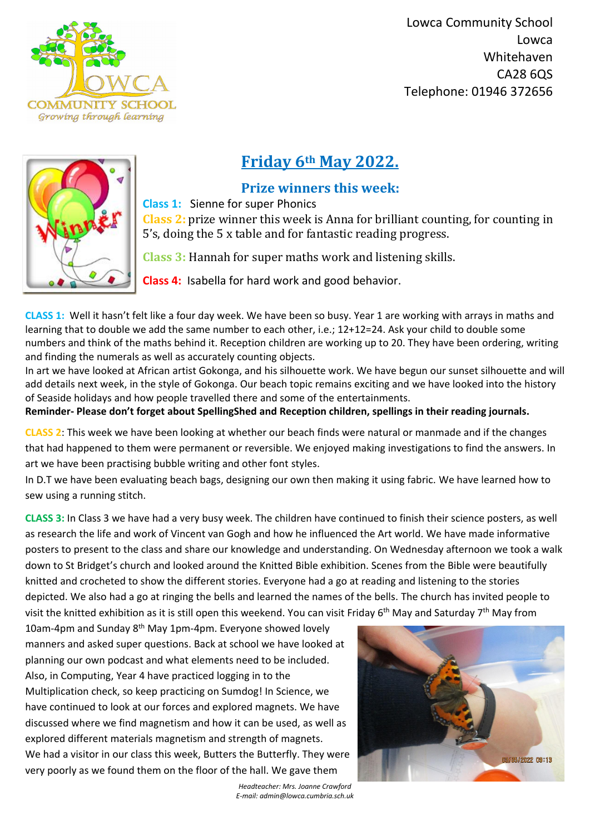

 Lowca Community School Lowca Whitehaven CA28 6QS Telephone: 01946 372656



*Headteacher: Mrs. Joanne Crawford E-mail: admin@lowca.cumbria.sch.uk*



## **Friday 6th May 2022.**

## **Prize winners this week:**

**Class 1:** Sienne for super Phonics

**Class 2:** prize winner this week is Anna for brilliant counting, for counting in 5's, doing the 5 x table and for fantastic reading progress.

**Class 3:** Hannah for super maths work and listening skills.

**Class 4:** Isabella for hard work and good behavior.

**CLASS 1:** Well it hasn't felt like a four day week. We have been so busy. Year 1 are working with arrays in maths and learning that to double we add the same number to each other, i.e.; 12+12=24. Ask your child to double some numbers and think of the maths behind it. Reception children are working up to 20. They have been ordering, writing and finding the numerals as well as accurately counting objects.

In art we have looked at African artist Gokonga, and his silhouette work. We have begun our sunset silhouette and will add details next week, in the style of Gokonga. Our beach topic remains exciting and we have looked into the history of Seaside holidays and how people travelled there and some of the entertainments.

**Reminder- Please don't forget about SpellingShed and Reception children, spellings in their reading journals.**

**CLASS 2**: This week we have been looking at whether our beach finds were natural or manmade and if the changes that had happened to them were permanent or reversible. We enjoyed making investigations to find the answers. In art we have been practising bubble writing and other font styles.

In D.T we have been evaluating beach bags, designing our own then making it using fabric. We have learned how to sew using a running stitch.

**CLASS 3:** In Class 3 we have had a very busy week. The children have continued to finish their science posters, as well as research the life and work of Vincent van Gogh and how he influenced the Art world. We have made informative posters to present to the class and share our knowledge and understanding. On Wednesday afternoon we took a walk down to St Bridget's church and looked around the Knitted Bible exhibition. Scenes from the Bible were beautifully knitted and crocheted to show the different stories. Everyone had a go at reading and listening to the stories depicted. We also had a go at ringing the bells and learned the names of the bells. The church has invited people to visit the knitted exhibition as it is still open this weekend. You can visit Friday 6<sup>th</sup> May and Saturday 7<sup>th</sup> May from 10am-4pm and Sunday 8<sup>th</sup> May 1pm-4pm. Everyone showed lovely manners and asked super questions. Back at school we have looked at planning our own podcast and what elements need to be included. Also, in Computing, Year 4 have practiced logging in to the Multiplication check, so keep practicing on Sumdog! In Science, we have continued to look at our forces and explored magnets. We have discussed where we find magnetism and how it can be used, as well as explored different materials magnetism and strength of magnets. We had a visitor in our class this week, Butters the Butterfly. They were 03/05/2022 09:13 very poorly as we found them on the floor of the hall. We gave them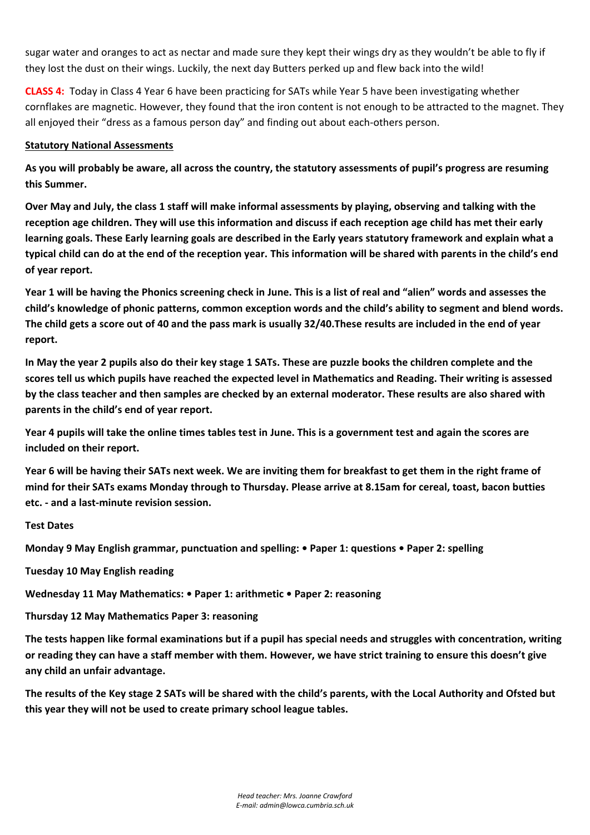*Head teacher: Mrs. Joanne Crawford E-mail: admin@lowca.cumbria.sch.uk*

sugar water and oranges to act as nectar and made sure they kept their wings dry as they wouldn't be able to fly if they lost the dust on their wings. Luckily, the next day Butters perked up and flew back into the wild!

**CLASS 4:** Today in Class 4 Year 6 have been practicing for SATs while Year 5 have been investigating whether cornflakes are magnetic. However, they found that the iron content is not enough to be attracted to the magnet. They all enjoyed their "dress as a famous person day" and finding out about each-others person.

## **Statutory National Assessments**

**As you will probably be aware, all across the country, the statutory assessments of pupil's progress are resuming this Summer.**

**Over May and July, the class 1 staff will make informal assessments by playing, observing and talking with the reception age children. They will use this information and discuss if each reception age child has met their early learning goals. These Early learning goals are described in the Early years statutory framework and explain what a typical child can do at the end of the reception year. This information will be shared with parents in the child's end of year report.**

**Year 1 will be having the Phonics screening check in June. This is a list of real and "alien" words and assesses the child's knowledge of phonic patterns, common exception words and the child's ability to segment and blend words. The child gets a score out of 40 and the pass mark is usually 32/40.These results are included in the end of year report.**

**In May the year 2 pupils also do their key stage 1 SATs. These are puzzle books the children complete and the scores tell us which pupils have reached the expected level in Mathematics and Reading. Their writing is assessed by the class teacher and then samples are checked by an external moderator. These results are also shared with parents in the child's end of year report.**

**Year 4 pupils will take the online times tables test in June. This is a government test and again the scores are included on their report.**

**Year 6 will be having their SATs next week. We are inviting them for breakfast to get them in the right frame of mind for their SATs exams Monday through to Thursday. Please arrive at 8.15am for cereal, toast, bacon butties etc. - and a last-minute revision session.**

**Test Dates**

**Monday 9 May English grammar, punctuation and spelling: • Paper 1: questions • Paper 2: spelling**

**Tuesday 10 May English reading**

**Wednesday 11 May Mathematics: • Paper 1: arithmetic • Paper 2: reasoning**

**Thursday 12 May Mathematics Paper 3: reasoning**

**The tests happen like formal examinations but if a pupil has special needs and struggles with concentration, writing or reading they can have a staff member with them. However, we have strict training to ensure this doesn't give any child an unfair advantage.**

**The results of the Key stage 2 SATs will be shared with the child's parents, with the Local Authority and Ofsted but this year they will not be used to create primary school league tables.**